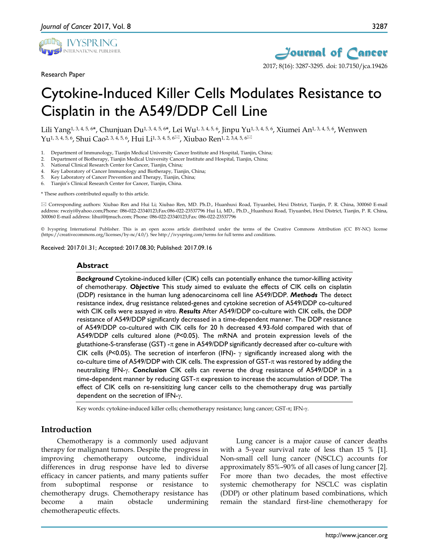

Research Paper



# Cytokine-Induced Killer Cells Modulates Resistance to Cisplatin in the A549/DDP Cell Line

Lili Yang1, 3, 4, 5, 6\*, Chunjuan Du1, 3, 4, 5, 6\*, Lei Wu1, 3, 4, 5, 6, Jinpu Yu1, 3, 4, 5, 6, Xiumei An1, 3, 4, 5, 6, Wenwen  $Yu^{1, 3, 4, 5, 6}$ , Shui Cao<sup>2, 3, 4, 5, 6</sup>, Hui Li<sup>1, 3, 4, 5, 6 $\boxtimes$ , Xiubao Ren<sup>1, 2, 3,4, 5, 6 $\boxtimes$ </sup></sup>

- 1. Department of Immunology, Tianjin Medical University Cancer Institute and Hospital, Tianjin, China;
- 2. Department of Biotherapy, Tianjin Medical University Cancer Institute and Hospital, Tianjin, China;
- 3. National Clinical Research Center for Cancer, Tianjin, China;
- 4. Key Laboratory of Cancer Immunology and Biotherapy, Tianjin, China;<br>5. Key Laboratory of Cancer Prevention and Therapy, Tianjin, China;
- Key Laboratory of Cancer Prevention and Therapy, Tianjin, China;
- 6. Tianjin's Clinical Research Center for Cancer, Tianjin, China.

\* These authors contributed equally to this article.

 Corresponding authors: Xiubao Ren and Hui Li; Xiubao Ren, MD. Ph.D., Huanhuxi Road, Tiyuanbei, Hexi District, Tianjin, P. R. China, 300060 E-mail address: rwziyi@yahoo.com;Phone: 086-022-23340123;Fax:086-022-23537796 Hui Li, MD., Ph.D., Huanhuxi Road, Tiyuanbei, Hexi District, Tianjin, P. R. China, 300060 E-mail address: lihui@tjmuch.com; Phone: 086-022-23340123;Fax: 086-022-23537796

© Ivyspring International Publisher. This is an open access article distributed under the terms of the Creative Commons Attribution (CC BY-NC) license (https://creativecommons.org/licenses/by-nc/4.0/). See http://ivyspring.com/terms for full terms and conditions.

Received: 2017.01.31; Accepted: 2017.08.30; Published: 2017.09.16

#### **Abstract**

*Background* Cytokine-induced killer (CIK) cells can potentially enhance the tumor-killing activity of chemotherapy. *Objective* This study aimed to evaluate the effects of CIK cells on cisplatin (DDP) resistance in the human lung adenocarcinoma cell line A549/DDP. *Methods* The detect resistance index, drug resistance related-genes and cytokine secretion of A549/DDP co-cultured with CIK cells were assayed *in vitro*. *Results* After A549/DDP co-culture with CIK cells, the DDP resistance of A549/DDP significantly decreased in a time-dependent manner. The DDP resistance of A549/DDP co-cultured with CIK cells for 20 h decreased 4.93-fold compared with that of A549/DDP cells cultured alone (*P*<0.05). The mRNA and protein expression levels of the glutathione-S-transferase (GST) - $\pi$  gene in A549/DDP significantly decreased after co-culture with CIK cells (*P*<0.05). The secretion of interferon (IFN)- γ significantly increased along with the co-culture time of A549/DDP with CIK cells. The expression of GST- $\pi$  was restored by adding the neutralizing IFN-γ. *Conclusion* CIK cells can reverse the drug resistance of A549/DDP in a time-dependent manner by reducing GST- $\pi$  expression to increase the accumulation of DDP. The effect of CIK cells on re-sensitizing lung cancer cells to the chemotherapy drug was partially dependent on the secretion of IFN-γ.

Key words: cytokine-induced killer cells; chemotherapy resistance; lung cancer; GST-π; IFN-γ.

### **Introduction**

Chemotherapy is a commonly used adjuvant therapy for malignant tumors. Despite the progress in improving chemotherapy outcome, individual differences in drug response have led to diverse efficacy in cancer patients, and many patients suffer from suboptimal response or resistance to chemotherapy drugs. Chemotherapy resistance has become a main obstacle undermining chemotherapeutic effects.

Lung cancer is a major cause of cancer deaths with a 5-year survival rate of less than 15 % [1]. Non-small cell lung cancer (NSCLC) accounts for approximately 85%–90% of all cases of lung cancer [2]. For more than two decades, the most effective systemic chemotherapy for NSCLC was cisplatin (DDP) or other platinum based combinations, which remain the standard first-line chemotherapy for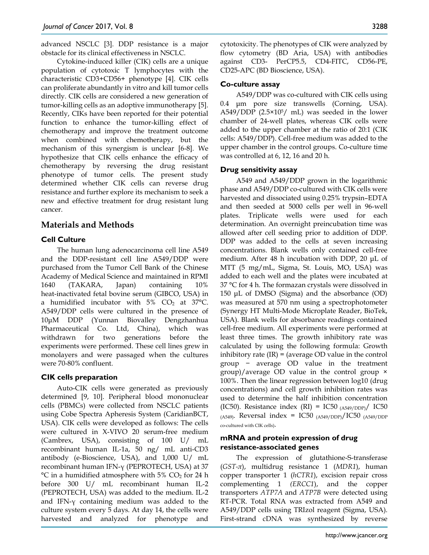advanced NSCLC [3]. DDP resistance is a major obstacle for its clinical effectiveness in NSCLC.

Cytokine-induced killer (CIK) cells are a unique population of cytotoxic T lymphocytes with the characteristic CD3+CD56+ phenotype [4]. CIK cells can proliferate abundantly in vitro and kill tumor cells directly. CIK cells are considered a new generation of tumor-killing cells as an adoptive immunotherapy [5]. Recently, CIKs have been reported for their potential function to enhance the tumor-killing effect of chemotherapy and improve the treatment outcome when combined with chemotherapy, but the mechanism of this synergism is unclear [6-8]. We hypothesize that CIK cells enhance the efficacy of chemotherapy by reversing the drug resistant phenotype of tumor cells. The present study determined whether CIK cells can reverse drug resistance and further explore its mechanism to seek a new and effective treatment for drug resistant lung cancer.

# **Materials and Methods**

# **Cell Culture**

The human lung adenocarcinoma cell line A549 and the DDP-resistant cell line A549/DDP were purchased from the Tumor Cell Bank of the Chinese Academy of Medical Science and maintained in RPMI 1640 (TAKARA, Japan) containing 10% heat-inactivated fetal bovine serum (GIBCO, USA) in a humidified incubator with  $5\%$  CO<sub>2</sub> at 37°C. A549/DDP cells were cultured in the presence of 10μM DDP (Yunnan Biovalley Dengzhanhua Pharmaceutical Co. Ltd, China), which was withdrawn for two generations before the experiments were performed. These cell lines grew in monolayers and were passaged when the cultures were 70-80% confluent.

# **CIK cells preparation**

Auto-CIK cells were generated as previously determined [9, 10]. Peripheral blood mononuclear cells (PBMCs) were collected from NSCLC patients using Cobe Spectra Apheresis System (CaridianBCT, USA). CIK cells were developed as follows: The cells were cultured in X-VIVO 20 serum-free medium (Cambrex, USA), consisting of 100 U/ mL recombinant human IL-1а, 50 ng/ mL anti-CD3 antibody (e-Bioscience, USA), and 1,000 U/ mL recombinant human IFN-γ (PEPROTECH, USA) at 37  $\rm{^{\circ}C}$  in a humidified atmosphere with 5% CO<sub>2</sub> for 24 h before 300 U/ mL recombinant human IL-2 (PEPROTECH, USA) was added to the medium. IL-2 and IFN-γ containing medium was added to the culture system every 5 days. At day 14, the cells were harvested and analyzed for phenotype and

cytotoxicity. The phenotypes of CIK were analyzed by flow cytometry (BD Aria, USA) with antibodies against CD3- PerCP5.5, CD4-FITC, CD56-PE, CD25-APC (BD Bioscience, USA).

# **Co-culture assay**

A549/DDP was co-cultured with CIK cells using 0.4 μm pore size transwells (Corning, USA). A549/DDP (2.5×105/ mL) was seeded in the lower chamber of 24-well plates, whereas CIK cells were added to the upper chamber at the ratio of 20:1 (CIK cells: A549/DDP). Cell-free medium was added to the upper chamber in the control groups. Co-culture time was controlled at 6, 12, 16 and 20 h.

# **Drug sensitivity assay**

A549 and A549/DDP grown in the logarithmic phase and A549/DDP co-cultured with CIK cells were harvested and dissociated using 0.25% trypsin–EDTA and then seeded at 5000 cells per well in 96-well plates. Triplicate wells were used for each determination. An overnight preincubation time was allowed after cell seeding prior to addition of DDP. DDP was added to the cells at seven increasing concentrations. Blank wells only contained cell-free medium. After 48 h incubation with DDP, 20 μL of MTT (5 mg/mL, Sigma, St. Louis, MO, USA) was added to each well and the plates were incubated at 37 °C for 4 h. The formazan crystals were dissolved in 150 μL of DMSO (Sigma) and the absorbance (OD) was measured at 570 nm using a spectrophotometer (Synergy HT Multi-Mode Microplate Reader, BioTek, USA). Blank wells for absorbance readings contained cell-free medium. All experiments were performed at least three times. The growth inhibitory rate was calculated by using the following formula: Growth inhibitory rate  $(IR) = (average OD value in the control)$ group − average OD value in the treatment group)/average OD value in the control group × 100%. Then the linear regression between log10 (drug concentrations) and cell growth inhibition rates was used to determine the half inhibition concentration (IC50). Resistance index (RI) = IC50  $_{(A549/DDP)}/$  IC50  $(A549)$ . Reversal index = IC50  $(A549/DDP)/IC50$   $(A549/DDP)$ co-cultured with CIK cells).

## **mRNA and protein expression of drug resistance-associated genes**

The expression of glutathione-S-transferase (*GST-π*), multidrug resistance 1 (*MDR1*), human copper transporter 1 (*hCTR1*), excision repair cross complementing 1 *(ERCC1*), and the copper transporters *ATP7A* and *ATP7B* were detected using RT-PCR. Total RNA was extracted from A549 and A549/DDP cells using TRIzol reagent (Sigma, USA). First-strand cDNA was synthesized by reverse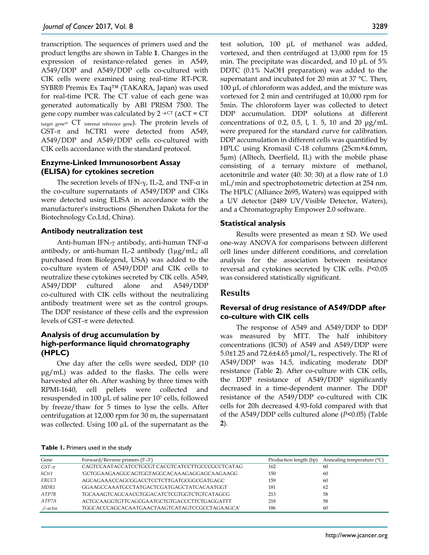transcription. The sequences of primers used and the product lengths are shown in Table **1**. Changes in the expression of resistance-related genes in A549, A549/DDP and A549/DDP cells co-cultured with CIK cells were examined using real-time RT-PCR. SYBR® Premix Ex Taq™ (TAKARA, Japan) was used for real-time PCR. The CT value of each gene was generated automatically by ABI PRISM 7500. The gene copy number was calculated by  $2^{-\Delta}CT$  ( $\Delta CT = CT$ ) target gene– CT internal reference gene). The protein levels of GST-π and hCTR1 were detected from A549, A549/DDP and A549/DDP cells co-cultured with CIK cells accordance with the standard protocol.

## **Enzyme-Linked Immunosorbent Assay (ELISA) for cytokines secretion**

The secretion levels of IFN-γ, IL-2, and TNF-α in the co-culture supernatants of A549/DDP and CIKs were detected using ELISA in accordance with the manufacturer's instructions (Shenzhen Dakota for the Biotechnology Co.Ltd, China).

# **Antibody neutralization test**

Anti-human IFN-γ antibody, anti-human TNF-α antibody, or anti-human IL-2 antibody (1µg/mL; all purchased from Biolegend, USA) was added to the co-culture system of A549/DDP and CIK cells to neutralize these cytokines secreted by CIK cells. A549, A549/DDP cultured alone and A549/DDP co-cultured with CIK cells without the neutralizing antibody treatment were set as the control groups. The DDP resistance of these cells and the expression levels of GST- $\pi$  were detected.

# **Analysis of drug accumulation by high-performance liquid chromatography (HPLC)**

One day after the cells were seeded, DDP (10 μg/mL) was added to the flasks. The cells were harvested after 6h. After washing by three times with RPMI-1640, cell pellets were collected and resuspended in 100 μL of saline per 107 cells, followed by freeze/thaw for 5 times to lyse the cells. After centrifugation at 12,000 rpm for 30 m, the supernatant was collected. Using 100 µL of the supernatant as the

test solution, 100 μL of methanol was added, vortexed, and then centrifuged at 13,000 rpm for 15 min. The precipitate was discarded, and 10 μL of 5% DDTC (0.1% NaOH preparation) was added to the supernatant and incubated for 20 min at 37 °C. Then, 100 μL of chloroform was added, and the mixture was vortexed for 2 min and centrifuged at 10,000 rpm for 5min. The chloroform layer was collected to detect DDP accumulation. DDP solutions at different concentrations of 0.2, 0.5, l, 1. 5, 10 and 20 μg/mL were prepared for the standard curve for calibration. DDP accumulation in different cells was quantified by HPLC using Kromasil C-18 columns (25cm×4.6mm, 5µm) (Alltech, Deerfield, IL) with the mobile phase consisting of a ternary mixture of methanol, acetonitrile and water (40: 30: 30) at a flow rate of 1.0 mL/min and spectrophotometric detection at 254 nm. The HPLC (Alliance 2695, Waters) was equipped with a UV detector (2489 UV/Visible Detector, Waters), and a Chromatography Empower 2.0 software.

# **Statistical analysis**

Results were presented as mean ± SD. We used one-way ANOVA for comparisons between different cell lines under different conditions, and correlation analysis for the association between resistance reversal and cytokines secreted by CIK cells. *P*<0.05 was considered statistically significant.

# **Results**

# **Reversal of drug resistance of A549/DDP after co-culture with CIK cells**

The response of A549 and A549/DDP to DDP was measured by MTT. The half inhibitory concentrations (IC50) of A549 and A549/DDP were 5.0±1.25 and 72.6±4.65 μmol/L, respectively. The RI of A549/DDP was 14.5, indicating moderate DDP resistance (Table **2**). After co-culture with CIK cells, the DDP resistance of A549/DDP significantly decreased in a time-dependent manner. The DDP resistance of the A549/DDP co-cultured with CIK cells for 20h decreased 4.93-fold compared with that of the A549/DDP cells cultured alone (*P*<0.05) (Table **2**).

| Table 1. Primers used in the study |
|------------------------------------|
|------------------------------------|

| Gene           | Forward/Reverse primers (5'-3')                  | Production length (bp) | Annealing temperature (°C) |
|----------------|--------------------------------------------------|------------------------|----------------------------|
| $GST-\pi$      | CAGTCCAATACCATCCTGCGT CACGTCATCCTTGCCCGCCTCATAG  | 162                    | 60                         |
| hCtr1          | 'GCTGGAAGAAGGCAGTGGTAGGCACAAAGAGGAGCAAGAAGG      | 150                    | 60                         |
| ERCC1          | AGCAGAAACCAGCGGACCTCCTCTTGATGCGGCGATGAGC         | 159                    | 60                         |
| MDR1           | GGA AGCCA A ATGCCTATG ACTCGATG AGCTATCA CA ATGGT | 181                    | 62                         |
| ATP7B          | TGCAAAGTCAGCAACGTGGACATCTCGTGGTCTGTCATAGCG       | 213                    | 58                         |
| ATP7A          | ACTGCAAGGTGTTCAGCGAATGCTGTGACCCTTCTGAGGATTT      | 218                    | 58                         |
| $\beta$ -actin | TGGCACCCAGCACAATGAACTAAGTCATAGTCCGCCTAGAAGCA'    | 186                    | 60                         |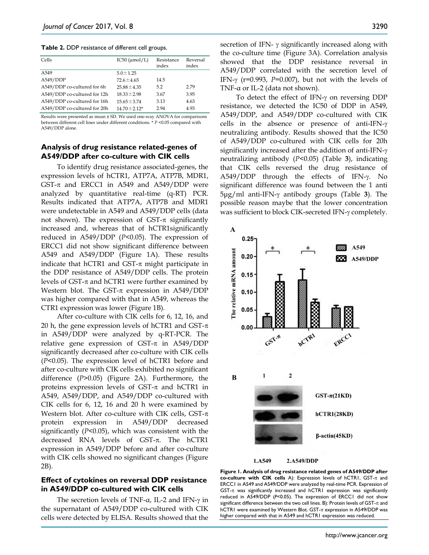**Table 2.** DDP resistance of different cell groups.

| Cells                        | IC50 $(\mu$ mol/L) | Resistance<br>index | Reversal<br>index |
|------------------------------|--------------------|---------------------|-------------------|
| A <sub>549</sub>             | $5.0 \pm 1.25$     |                     |                   |
| A549/DDP                     | $72.6 \pm 4.65$    | 14.5                |                   |
| A549/DDP co-cultured for 6h  | $25.88 \pm 4.35$   | 5.2                 | 2.79              |
| A549/DDP co-cultured for 12h | $18.33 \pm 2.98$   | 3.67                | 3.95              |
| A549/DDP co-cultured for 16h | $15.65 \pm 3.74$   | 3.13                | 4.63              |
| A549/DDP co-cultured for 20h | $14.70 \pm 2.12*$  | 2.94                | 4.93              |

Results were presented as mean ± SD. We used one-way ANOVA for comparisons between different cell lines under different conditions. \* *P* <0.05 compared with A549/DDP alone.

#### **Analysis of drug resistance related-genes of A549/DDP after co-culture with CIK cells**

To identify drug resistance associated-genes, the expression levels of hCTR1, ATP7A, ATP7B, MDR1, GST- $\pi$  and ERCC1 in A549 and A549/DDP were analyzed by quantitative real-time (q-RT) PCR. Results indicated that ATP7A, ATP7B and MDR1 were undetectable in A549 and A549/DDP cells (data not shown). The expression of  $GST-\pi$  significantly increased and, whereas that of hCTR1significantly reduced in A549/DDP (*P*<0.05). The expression of ERCC1 did not show significant difference between A549 and A549/DDP (Figure 1A). These results indicate that hCTR1 and  $GST-\pi$  might participate in the DDP resistance of A549/DDP cells. The protein levels of GST- $π$  and hCTR1 were further examined by Western blot. The GST- $\pi$  expression in A549/DDP was higher compared with that in A549, whereas the CTR1 expression was lower (Figure 1B).

After co-culture with CIK cells for 6, 12, 16, and 20 h, the gene expression levels of hCTR1 and GST- $\pi$ in A549/DDP were analyzed by q-RT-PCR. The relative gene expression of GST- $\pi$  in A549/DDP significantly decreased after co-culture with CIK cells (*P*<0.05). The expression level of hCTR1 before and after co-culture with CIK cells exhibited no significant difference (*P*>0.05) (Figure 2A). Furthermore, the proteins expression levels of  $GST-\pi$  and hCTR1 in A549, A549/DDP, and A549/DDP co-cultured with CIK cells for 6, 12, 16 and 20 h were examined by Western blot. After co-culture with CIK cells,  $GST-\pi$ protein expression in A549/DDP decreased significantly (*P*<0.05), which was consistent with the decreased RNA levels of GST-π. The hCTR1 expression in A549/DDP before and after co-culture with CIK cells showed no significant changes (Figure 2B).

#### **Effect of cytokines on reversal DDP resistance in A549/DDP co-cultured with CIK cells**

The secretion levels of TNF-α, IL-2 and IFN-γ in the supernatant of A549/DDP co-cultured with CIK cells were detected by ELISA. Results showed that the secretion of IFN- $\gamma$  significantly increased along with the co-culture time (Figure 3A). Correlation analysis showed that the DDP resistance reversal in A549/DDP correlated with the secretion level of IFN-γ (r=0.993, *P*=0.007), but not with the levels of TNF-α or IL-2 (data not shown).

To detect the effect of IFN-γ on reversing DDP resistance, we detected the IC50 of DDP in A549, A549/DDP, and A549/DDP co-cultured with CIK cells in the absence or presence of anti-IFN-γ neutralizing antibody. Results showed that the IC50 of A549/DDP co-cultured with CIK cells for 20h significantly increased after the addition of anti-IFN-γ neutralizing antibody (*P*<0.05) (Table **3**), indicating that CIK cells reversed the drug resistance of A549/DDP through the effects of IFN-γ. No significant difference was found between the 1 anti 5μg/ml anti-IFN-γ antibody groups (Table **3**). The possible reason maybe that the lower concentration was sufficient to block CIK-secreted IFN-γ completely.



**Figure 1. Analysis of drug resistance related genes of A549/DDP after co-culture with CIK cells** A): Expression levels of hCTR1, GST-π and ERCC1 in A549 and A549/DDP were analyzed by real-time PCR. Expression of GST-π was significantly increased and hCTR1 expression was significantly reduced in A549/DDP (*P*<0.05). The expression of ERCC1 did not show significant difference between the two cell lines. B): Protein levels of GST-π and hCTR1 were examined by Western Blot. GST-π expression in A549/DDP was higher compared with that in A549 and hCTR1 expression was reduced.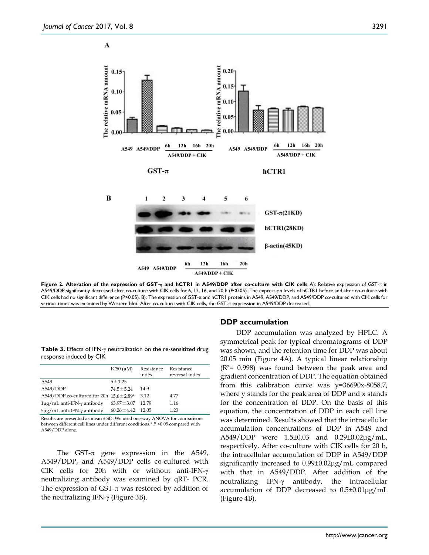$\mathbf{A}$ 



**Figure 2. Alteration of the expression of GST-**π **and hCTR1 in A549/DDP after co-culture with CIK cells** A): Relative expression of GST-π in A549/DDP significantly decreased after co-culture with CIK cells for 6, 12, 16, and 20 h (*P*<0.05). The expression levels of hCTR1 before and after co-culture with CIK cells had no significant difference (P>0.05). B): The expression of GST-π and hCTR1 proteins in A549, A549/DDP, and A549/DDP co-cultured with CIK cells for various times was examined by Western blot. After co-culture with CIK cells, the GST-π expression in A549/DDP decreased.

**Table 3.** Effects of IFN-γ neutralization on the re-sensitized drug response induced by CIK

| IC50 $(\mu M)$                                 | Resistance | Resistance<br>reversal index |
|------------------------------------------------|------------|------------------------------|
|                                                |            |                              |
| $5 + 1.25$                                     |            |                              |
| $74.5 \pm 5.24$                                | 14.9       |                              |
| A549/DDP co-cultured for 20h $15.6 \pm 2.89$ * |            | 4.77                         |
| $63.97 \pm 3.07$                               | 12.79      | 1.16                         |
| $60.26 \pm 4.42$                               |            | 1.23                         |
|                                                |            | index<br>3.12<br>12.05       |

Results are presented as mean ± SD. We used one-way ANOVA for comparisons between different cell lines under different conditions.\* *P* <0.05 compared with A549/DDP alone.

The GST- $\pi$  gene expression in the A549, A549/DDP, and A549/DDP cells co-cultured with CIK cells for 20h with or without anti-IFN-γ neutralizing antibody was examined by qRT- PCR. The expression of GST- $\pi$  was restored by addition of the neutralizing IFN-γ (Figure 3B).

#### **DDP accumulation**

DDP accumulation was analyzed by HPLC. A symmetrical peak for typical chromatograms of DDP was shown, and the retention time for DDP was about 20.05 min (Figure 4A). A typical linear relationship  $(R<sup>2</sup>= 0.998)$  was found between the peak area and gradient concentration of DDP. The equation obtained from this calibration curve was y=36690x-8058.7, where y stands for the peak area of DDP and x stands for the concentration of DDP. On the basis of this equation, the concentration of DDP in each cell line was determined. Results showed that the intracellular accumulation concentrations of DDP in A549 and A549/DDP were 1.5±0.03 and 0.29±0.02μg/mL, respectively. After co-culture with CIK cells for 20 h, the intracellular accumulation of DDP in A549/DDP significantly increased to 0.99±0.02μg/mL compared with that in A549/DDP. After addition of the neutralizing IFN-γ antibody, the intracellular accumulation of DDP decreased to 0.5±0.01μg/mL (Figure 4B).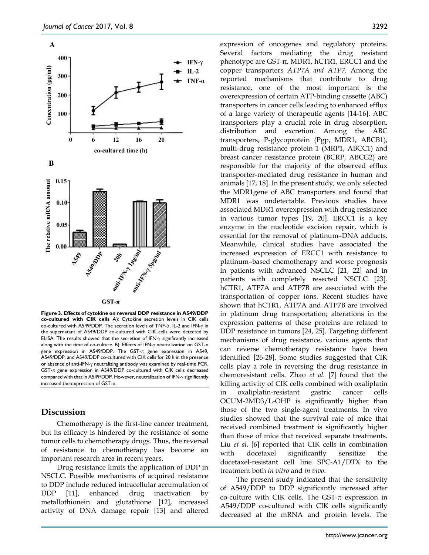

**Figure 3. Effects of cytokine on reversal DDP resistance in A549/DDP co-cultured with CIK cells** A): Cytokine secretion levels in CIK cells co-cultured with A549/DDP. The secretion levels of TNF-α, IL-2 and IFN-γ in the supernatant of A549/DDP co-cultured with CIK cells were detected by ELISA. The results showed that the secretion of IFN-γ significantly increased along with the time of co-culture. B): Effects of IFN-γ neutralization on GST-π gene expression in A549/DDP. The GST-π gene expression in A549, A549/DDP, and A549/DDP co-cultured with CIK cells for 20 h in the presence or absence of anti-IFN-γ neutralizing antibody was examined by real-time PCR. GST-π gene expression in A549/DDP co-cultured with CIK cells decreased compared with that in A549/DDP. However, neutralization of IFN-γ significantly increased the expression of GST-π.

## **Discussion**

Chemotherapy is the first-line cancer treatment, but its efficacy is hindered by the resistance of some tumor cells to chemotherapy drugs. Thus, the reversal of resistance to chemotherapy has become an important research area in recent years.

Drug resistance limits the application of DDP in NSCLC. Possible mechanisms of acquired resistance to DDP include reduced intracellular accumulation of DDP [11], enhanced drug inactivation by metallothionein and glutathione [12], increased activity of DNA damage repair [13] and altered

expression of oncogenes and regulatory proteins. Several factors mediating the drug resistant phenotype are GST-π, MDR1, hCTR1, ERCC1 and the copper transporters *ATP7A and ATP7.* Among the reported mechanisms that contribute to drug resistance, one of the most important is the overexpression of certain ATP-binding cassette (ABC) transporters in cancer cells leading to enhanced efflux of a large variety of therapeutic agents [14-16]. ABC transporters play a crucial role in drug absorption, distribution and excretion. Among the ABC transporters, P-glycoprotein (Pgp, MDR1, ABCB1), multi-drug resistance protein 1 (MRP1, ABCC1) and breast cancer resistance protein (BCRP, ABCG2) are responsible for the majority of the observed efflux transporter-mediated drug resistance in human and animals [17, 18]. In the present study, we only selected the MDR1gene of ABC transporters and found that MDR1 was undetectable. Previous studies have associated MDR1 overexpression with drug resistance in various tumor types [19, 20]. ERCC1 is a key enzyme in the nucleotide excision repair, which is essential for the removal of platinum–DNA adducts. Meanwhile, clinical studies have associated the increased expression of ERCC1 with resistance to platinum–based chemotherapy and worse prognosis in patients with advanced NSCLC [21, 22] and in patients with completely resected NSCLC [23]. hCTR1, ATP7A and ATP7B are associated with the transportation of copper ions. Recent studies have shown that hCTR1, ATP7A and ATP7B are involved in platinum drug transportation; alterations in the expression patterns of these proteins are related to DDP resistance in tumors [24, 25]. Targeting different mechanisms of drug resistance, various agents that can reverse chemotherapy resistance have been identified [26-28]. Some studies suggested that CIK cells play a role in reversing the drug resistance in chemoresistant cells. Zhao *et al.* [7] found that the killing activity of CIK cells combined with oxaliplatin in oxaliplatin-resistant gastric cancer cells OCUM-2MD3/L-OHP is significantly higher than those of the two single-agent treatments. In vivo studies showed that the survival rate of mice that received combined treatment is significantly higher than those of mice that received separate treatments. Liu *et al.* [6] reported that CIK cells in combination with docetaxel significantly sensitize the docetaxel-resistant cell line SPC-A1/DTX to the treatment both *in vitro* and *in vivo*.

The present study indicated that the sensitivity of A549/DDP to DDP significantly increased after co-culture with CIK cells. The GST-π expression in A549/DDP co-cultured with CIK cells significantly decreased at the mRNA and protein levels. The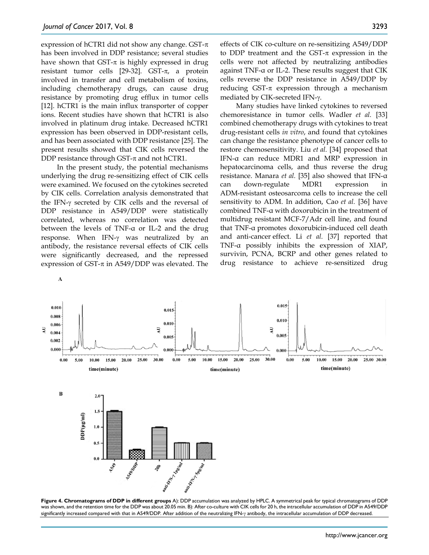expression of hCTR1 did not show any change. GST- $\pi$ has been involved in DDP resistance; several studies have shown that  $GST-\pi$  is highly expressed in drug resistant tumor cells [29-32]. GST-π, a protein involved in transfer and cell metabolism of toxins, including chemotherapy drugs, can cause drug resistance by promoting drug efflux in tumor cells [12]. hCTR1 is the main influx transporter of copper ions. Recent studies have shown that hCTR1 is also involved in platinum drug intake. Decreased hCTR1 expression has been observed in DDP-resistant cells, and has been associated with DDP resistance [25]. The present results showed that CIK cells reversed the DDP resistance through GST- $\pi$  and not hCTR1.

In the present study, the potential mechanisms underlying the drug re-sensitizing effect of CIK cells were examined. We focused on the cytokines secreted by CIK cells. Correlation analysis demonstrated that the IFN-γ secreted by CIK cells and the reversal of DDP resistance in A549/DDP were statistically correlated, whereas no correlation was detected between the levels of TNF-α or IL-2 and the drug response. When IFN-γ was neutralized by an antibody, the resistance reversal effects of CIK cells were significantly decreased, and the repressed expression of GST- $\pi$  in A549/DDP was elevated. The

effects of CIK co-culture on re-sensitizing A549/DDP to DDP treatment and the  $GST-\pi$  expression in the cells were not affected by neutralizing antibodies against TNF-α or IL-2. These results suggest that CIK cells reverse the DDP resistance in A549/DDP by reducing GST- $\pi$  expression through a mechanism mediated by CIK-secreted IFN-γ.

Many studies have linked cytokines to reversed chemoresistance in tumor cells. Wadler *et al.* [33] combined chemotherapy drugs with cytokines to treat drug-resistant cells *in vitro*, and found that cytokines can change the resistance phenotype of cancer cells to restore chemosensitivity. Liu *et al.* [34] proposed that IFN-α can reduce MDR1 and MRP expression in hepatocarcinoma cells, and thus reverse the drug resistance. Manara *et al.* [35] also showed that IFN-α can down-regulate MDR1 expression in ADM-resistant osteosarcoma cells to increase the cell sensitivity to ADM. In addition, Cao *et al.* [36] have combined TNF-α with doxorubicin in the treatment of multidrug resistant MCF-7/Adr cell line, and found that TNF-α promotes doxorubicin-induced cell death and anti-cancer effect. Li *et al.* [37] reported that TNF-α possibly inhibits the expression of XIAP, survivin, PCNA, BCRP and other genes related to drug resistance to achieve re-sensitized drug



**Figure 4. Chromatograms of DDP in different groups** A): DDP accumulation was analyzed by HPLC. A symmetrical peak for typical chromatograms of DDP was shown, and the retention time for the DDP was about 20.05 min. B): After co-culture with CIK cells for 20 h, the intracellular accumulation of DDP in A549/DDP significantly increased compared with that in A549/DDP. After addition of the neutralizing IFN-γ antibody, the intracellular accumulation of DDP decreased.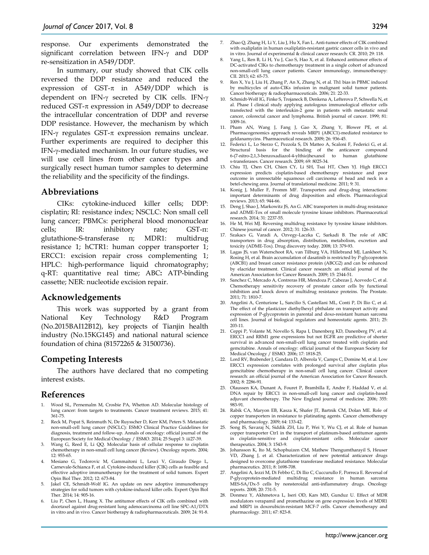response. Our experiments demonstrated the significant correlation between IFN-γ and DDP re-sensitization in A549/DDP.

In summary, our study showed that CIK cells reversed the DDP resistance and reduced the expression of GST- $\pi$  in A549/DDP which is dependent on IFN-γ secreted by CIK cells. IFN-γ reduced GST- $\pi$  expression in A549/DDP to decrease the intracellular concentration of DDP and reverse DDP resistance. However, the mechanism by which IFN-γ regulates GST-π expression remains unclear. Further experiments are required to decipher this IFN-γ-mediated mechanism. In our future studies, we will use cell lines from other cancer types and surgically resect human tumor samples to determine the reliability and the specificity of the findings.

# **Abbreviations**

CIKs: cytokine-induced killer cells; DDP: cisplatin; RI: resistance index; NSCLC: Non small cell lung cancer; PBMCs: peripheral blood mononuclear cells; IR: inhibitory rate; GST-π: glutathione-S-transferase π; MDR1: multidrug resistance 1; hCTR1: human copper transporter 1; ERCC1: excision repair cross complementing 1; HPLC: high-performance liquid chromatography; q-RT: quantitative real time; ABC**:** ATP-binding cassette; NER: nucleotide excision repair.

### **Acknowledgements**

This work was supported by a grant from National Key Technology R&D Program (No.2015BAI12B12), key projects of Tianjin health industry (No.15KG145) and national natural science foundation of china (81572265 & 31500736).

# **Competing Interests**

The authors have declared that no competing interest exists.

### **References**

- 1. Wood SL, Pernemalm M, Crosbie PA, Whetton AD. Molecular histology of lung cancer: from targets to treatments. Cancer treatment reviews. 2015; 41: 361-75.
- 2. Reck M, Popat S, Reinmuth N, De Ruysscher D, Kerr KM, Peters S. Metastatic non-small-cell lung cancer (NSCLC): ESMO Clinical Practice Guidelines for diagnosis, treatment and follow-up. Annals of oncology: official journal of the European Society for Medical Oncology / ESMO. 2014; 25 Suppl 3: iii27-39.
- 3. Wang G, Reed E, Li QQ. Molecular basis of cellular response to cisplatin chemotherapy in non-small cell lung cancer (Review). Oncology reports. 2004; 12: 955-65.
- 4. Mesiano G, Todorovic M, Gammaitoni L, Leuci V, Giraudo Diego L, Carnevale-Schianca F, et al. Cytokine-induced killer (CIK) cells as feasible and effective adoptive immunotherapy for the treatment of solid tumors. Expert Opin Biol Ther. 2012; 12: 673-84.
- 5. Jakel CE, Schmidt-Wolf IG. An update on new adoptive immunotherapy strategies for solid tumors with cytokine-induced killer cells. Expert Opin Biol Ther. 2014; 14: 905-16.
- Liu P, Chen L, Huang X. The antitumor effects of CIK cells combined with docetaxel against drug-resistant lung adenocarcinoma cell line SPC-A1/DTX in vitro and in vivo. Cancer biotherapy & radiopharmaceuticals. 2009; 24: 91-8.
- 7. Zhao Q, Zhang H, Li Y, Liu J, Hu X, Fan L. Anti-tumor effects of CIK combined with oxaliplatin in human oxaliplatin-resistant gastric cancer cells in vivo and in vitro. Journal of experimental & clinical cancer research: CR. 2010; 29: 118.
- 8. Yang L, Ren B, Li H, Yu J, Cao S, Hao X, et al. Enhanced antitumor effects of DC-activated CIKs to chemotherapy treatment in a single cohort of advanced non-small-cell lung cancer patients. Cancer immunology, immunotherapy: CII. 2013; 62: 65-73.
- 9. Ren X, Yu J, Liu H, Zhang P, An X, Zhang N, et al. Th1 bias in PBMC induced by multicycles of auto-CIKs infusion in malignant solid tumor patients. Cancer biotherapy & radiopharmaceuticals. 2006; 21: 22-33.
- 10. Schmidt-Wolf IG, Finke S, Trojaneck B, Denkena A, Lefterova P, Schwella N, et al. Phase I clinical study applying autologous immunological effector cells transfected with the interleukin-2 gene in patients with metastatic renal cancer, colorectal cancer and lymphoma. British journal of cancer. 1999; 81: 1009-16.
- 11. Pham AN, Wang J, Fang J, Gao X, Zhang Y, Blower PE, et al. Pharmacogenomics approach reveals MRP1 (ABCC1)-mediated resistance to geldanamycins. Pharmaceutical research. 2009; 26: 936-45.
- 12. Federici L, Lo Sterzo C, Pezzola S, Di Matteo A, Scaloni F, Federici G, et al. Structural basis for the binding of the anticancer compound 6-(7-nitro-2,1,3-benzoxadiazol-4-ylthio)hexanol to human glutathione s-transferases. Cancer research. 2009; 69: 8025-34.
- 13. Chiu TJ, Chen CH, Chien CY, Li SH, Tsai HT, Chen YJ. High ERCC1 expression predicts cisplatin-based chemotherapy resistance and poor outcome in unresectable squamous cell carcinoma of head and neck in a betel-chewing area. Journal of translational medicine. 2011; 9: 31.
- 14. Konig J, Muller F, Fromm MF. Transporters and drug-drug interactions: important determinants of drug disposition and effects. Pharmacological reviews. 2013; 65: 944-66.
- 15. Deng J, Shao J, Markowitz JS, An G. ABC transporters in multi-drug resistance and ADME-Tox of small molecule tyrosine kinase inhibitors. Pharmaceutical research. 2014; 31: 2237-55.
- 16. He M, Wei MJ. Reversing multidrug resistance by tyrosine kinase inhibitors. Chinese journal of cancer. 2012; 31: 126-33.
- 17. Szakacs G, Varadi A, Ozvegy-Laczka C, Sarkadi B. The role of ABC transporters in drug absorption, distribution, metabolism, excretion and toxicity (ADME-Tox). Drug discovery today. 2008; 13: 379-93.
- 18. Lagas JS, van Waterschoot RA, van Tilburg VA, Hillebrand MJ, Lankheet N, Rosing H, et al. Brain accumulation of dasatinib is restricted by P-glycoprotein (ABCB1) and breast cancer resistance protein (ABCG2) and can be enhanced by elacridar treatment. Clinical cancer research: an official journal of the American Association for Cancer Research. 2009; 15: 2344-51.
- 19. Sanchez C, Mercado A, Contreras HR, Mendoza P, Cabezas J, Acevedo C, et al. Chemotherapy sensitivity recovery of prostate cancer cells by functional inhibition and knock down of multidrug resistance proteins. The Prostate. 2011; 71: 1810-7.
- 20. Angelini A, Centurione L, Sancilio S, Castellani ML, Conti P, Di Ilio C, et al. The effect of the plasticizer diethylhexyl phthalate on transport activity and expression of P-glycoprotein in parental and doxo-resistant human sarcoma cell lines. Journal of biological regulators and homeostatic agents. 2011; 25: 203-11.
- 21. Ceppi P, Volante M, Novello S, Rapa I, Danenberg KD, Danenberg PV, et al. ERCC1 and RRM1 gene expressions but not EGFR are predictive of shorter survival in advanced non-small-cell lung cancer treated with cisplatin and gemcitabine. Annals of oncology: official journal of the European Society for Medical Oncology / ESMO. 2006; 17: 1818-25.
- 22. Lord RV, Brabender J, Gandara D, Alberola V, Camps C, Domine M, et al. Low ERCC1 expression correlates with prolonged survival after cisplatin plus gemcitabine chemotherapy in non-small cell lung cancer. Clinical cancer research: an official journal of the American Association for Cancer Research. 2002; 8: 2286-91.
- 23. Olaussen KA, Dunant A, Fouret P, Brambilla E, Andre F, Haddad V, et al. DNA repair by ERCC1 in non-small-cell lung cancer and cisplatin-based adjuvant chemotherapy. The New England journal of medicine. 2006; 355: 983-91.
- 24. Rabik CA, Maryon EB, Kasza K, Shafer JT, Bartnik CM, Dolan ME. Role of copper transporters in resistance to platinating agents. Cancer chemotherapy and pharmacology. 2009; 64: 133-42.
- 25. Song IS, Savaraj N, Siddik ZH, Liu P, Wei Y, Wu CJ, et al. Role of human copper transporter Ctr1 in the transport of platinum-based antitumor agents in cisplatin-sensitive and cisplatin-resistant cells. Molecular cancer therapeutics. 2004; 3: 1543-9.
- 26. Johansson K, Ito M, Schophuizen CM, Mathew Thengumtharayil S, Heuser VD, Zhang J, et al. Characterization of new potential anticancer drugs designed to overcome glutathione transferase mediated resistance. Molecular pharmaceutics. 2011; 8: 1698-708.
- 27. Angelini A, Iezzi M, Di Febbo C, Di Ilio C, Cuccurullo F, Porreca E. Reversal of P-glycoprotein-mediated multidrug resistance in human sarcoma MES-SA/Dx-5 cells by nonsteroidal anti-inflammatory drugs. Oncology reports. 2008; 20: 731-5.
- 28. Donmez Y, Akhmetova L, Iseri OD, Kars MD, Gunduz U. Effect of MDR modulators verapamil and promethazine on gene expression levels of MDR1 and MRP1 in doxorubicin-resistant MCF-7 cells. Cancer chemotherapy and pharmacology. 2011; 67: 823-8.